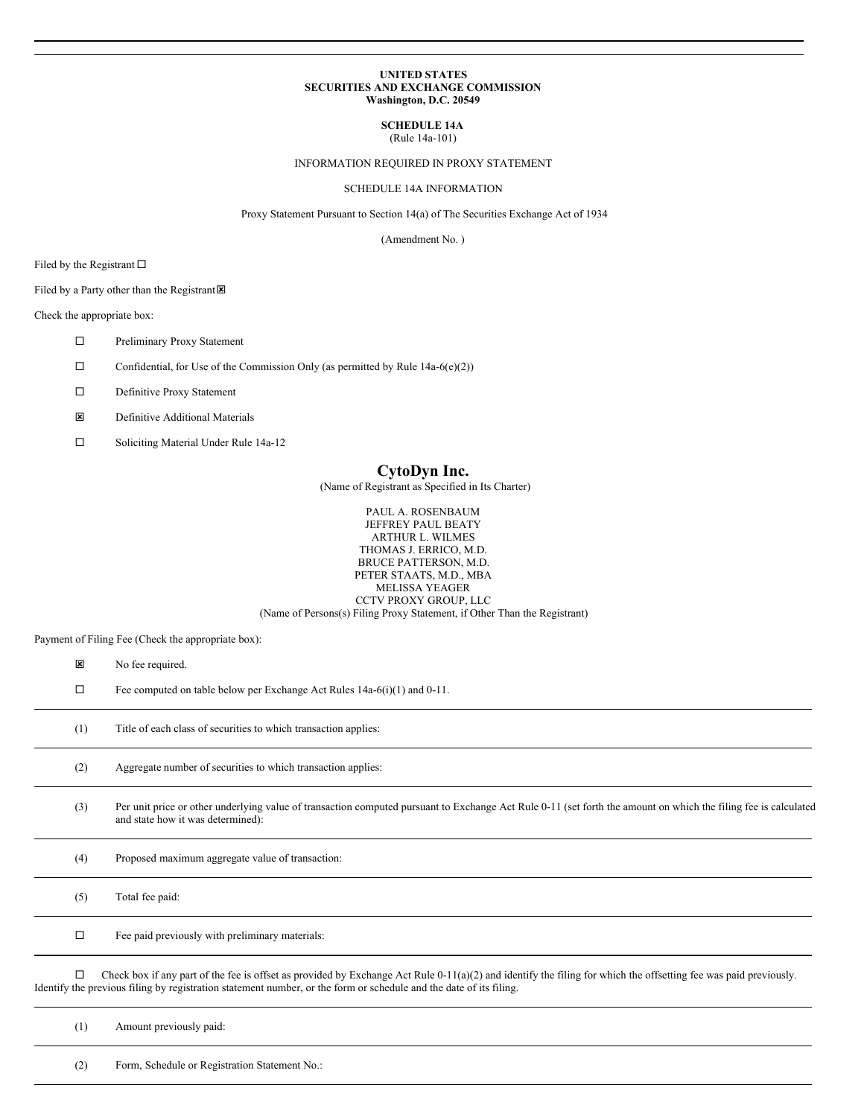## **UNITED STATES SECURITIES AND EXCHANGE COMMISSION Washington, D.C. 20549**

# **SCHEDULE 14A**

(Rule 14a-101)

## INFORMATION REQUIRED IN PROXY STATEMENT

## SCHEDULE 14A INFORMATION

Proxy Statement Pursuant to Section 14(a) of The Securities Exchange Act of 1934

(Amendment No. )

Filed by the Registrant  $\Box$ 

## Filed by a Party other than the Registrant $\boxtimes$

Check the appropriate box:

- □ Preliminary Proxy Statement
- $\Box$  Confidential, for Use of the Commission Only (as permitted by Rule 14a-6(e)(2))
- $\square$  Definitive Proxy Statement
- **E** Definitive Additional Materials
- □ Soliciting Material Under Rule 14a-12

## **CytoDyn Inc.**

(Name of Registrant as Specified in Its Charter)

PAUL A. ROSENBAUM JEFFREY PAUL BEATY ARTHUR L. WILMES THOMAS J. ERRICO, M.D. BRUCE PATTERSON, M.D. PETER STAATS, M.D., MBA MELISSA YEAGER CCTV PROXY GROUP, LLC (Name of Persons(s) Filing Proxy Statement, if Other Than the Registrant)

Payment of Filing Fee (Check the appropriate box):

| ×      | No fee required.                                                                                                                                                                                                                                                                         |
|--------|------------------------------------------------------------------------------------------------------------------------------------------------------------------------------------------------------------------------------------------------------------------------------------------|
| □      | Fee computed on table below per Exchange Act Rules 14a-6(i)(1) and 0-11.                                                                                                                                                                                                                 |
| (1)    | Title of each class of securities to which transaction applies:                                                                                                                                                                                                                          |
| (2)    | Aggregate number of securities to which transaction applies:                                                                                                                                                                                                                             |
| (3)    | Per unit price or other underlying value of transaction computed pursuant to Exchange Act Rule 0-11 (set forth the amount on which the filing fee is calculated<br>and state how it was determined):                                                                                     |
| (4)    | Proposed maximum aggregate value of transaction:                                                                                                                                                                                                                                         |
| (5)    | Total fee paid:                                                                                                                                                                                                                                                                          |
| $\Box$ | Fee paid previously with preliminary materials:                                                                                                                                                                                                                                          |
| □      | Check box if any part of the fee is offset as provided by Exchange Act Rule $0-11(a)(2)$ and identify the filing for which the offsetting fee was paid previously.<br>Identify the previous filing by registration statement number, or the form or schedule and the date of its filing. |
| (1)    | Amount previously paid:                                                                                                                                                                                                                                                                  |

(2) Form, Schedule or Registration Statement No.: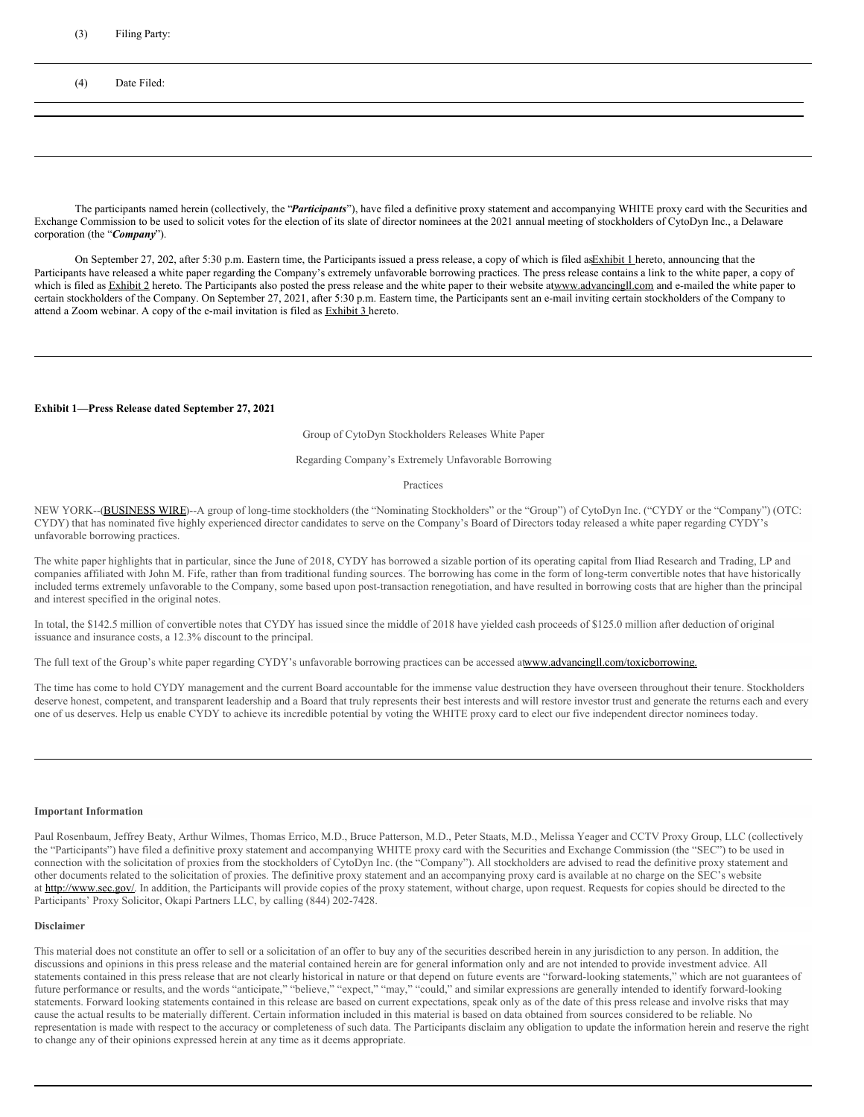#### (3) Filing Party:

(4) Date Filed:

The participants named herein (collectively, the "*Participants*"), have filed a definitive proxy statement and accompanying WHITE proxy card with the Securities and Exchange Commission to be used to solicit votes for the election of its slate of director nominees at the 2021 annual meeting of stockholders of CytoDyn Inc., a Delaware corporation (the "*Company*").

On September 27, 202, after 5:30 p.m. Eastern time, the Participants issued a press release, a copy of which is filed as Exhibit 1 hereto, announcing that the Participants have released a white paper regarding the Company's extremely unfavorable borrowing practices. The press release contains a link to the white paper, a copy of which is filed as Exhibit 2 hereto. The Participants also posted the press release and the white paper to their website atwww.advancingll.com and e-mailed the white paper to certain stockholders of the Company. On September 27, 2021, after 5:30 p.m. Eastern time, the Participants sent an e-mail inviting certain stockholders of the Company to attend a Zoom webinar. A copy of the e-mail invitation is filed as Exhibit 3 hereto.

## **Exhibit 1—Press Release dated September 27, 2021**

Group of CytoDyn Stockholders Releases White Paper

#### Regarding Company's Extremely Unfavorable Borrowing

#### Practices

NEW YORK--(BUSINESS WIRE)--A group of long-time stockholders (the "Nominating Stockholders" or the "Group") of CytoDyn Inc. ("CYDY or the "Company") (OTC: CYDY) that has nominated five highly experienced director candidates to serve on the Company's Board of Directors today released a white paper regarding CYDY's unfavorable borrowing practices.

The white paper highlights that in particular, since the June of 2018, CYDY has borrowed a sizable portion of its operating capital from Iliad Research and Trading, LP and companies affiliated with John M. Fife, rather than from traditional funding sources. The borrowing has come in the form of long-term convertible notes that have historically included terms extremely unfavorable to the Company, some based upon post-transaction renegotiation, and have resulted in borrowing costs that are higher than the principal and interest specified in the original notes.

In total, the \$142.5 million of convertible notes that CYDY has issued since the middle of 2018 have yielded cash proceeds of \$125.0 million after deduction of original issuance and insurance costs, a 12.3% discount to the principal.

The full text of the Group's white paper regarding CYDY's unfavorable borrowing practices can be accessed atwww.advancingll.com/toxicborrowing.

The time has come to hold CYDY management and the current Board accountable for the immense value destruction they have overseen throughout their tenure. Stockholders deserve honest, competent, and transparent leadership and a Board that truly represents their best interests and will restore investor trust and generate the returns each and every one of us deserves. Help us enable CYDY to achieve its incredible potential by voting the WHITE proxy card to elect our five independent director nominees today.

#### **Important Information**

Paul Rosenbaum, Jeffrey Beaty, Arthur Wilmes, Thomas Errico, M.D., Bruce Patterson, M.D., Peter Staats, M.D., Melissa Yeager and CCTV Proxy Group, LLC (collectively the "Participants") have filed a definitive proxy statement and accompanying WHITE proxy card with the Securities and Exchange Commission (the "SEC") to be used in connection with the solicitation of proxies from the stockholders of CytoDyn Inc. (the "Company"). All stockholders are advised to read the definitive proxy statement and other documents related to the solicitation of proxies. The definitive proxy statement and an accompanying proxy card is available at no charge on the SEC's website at http://www.sec.gov/. In addition, the Participants will provide copies of the proxy statement, without charge, upon request. Requests for copies should be directed to the Participants' Proxy Solicitor, Okapi Partners LLC, by calling (844) 202-7428.

#### **Disclaimer**

This material does not constitute an offer to sell or a solicitation of an offer to buy any of the securities described herein in any jurisdiction to any person. In addition, the discussions and opinions in this press release and the material contained herein are for general information only and are not intended to provide investment advice. All statements contained in this press release that are not clearly historical in nature or that depend on future events are "forward-looking statements," which are not guarantees of future performance or results, and the words "anticipate," "believe," "expect," "may," "could," and similar expressions are generally intended to identify forward-looking statements. Forward looking statements contained in this release are based on current expectations, speak only as of the date of this press release and involve risks that may cause the actual results to be materially different. Certain information included in this material is based on data obtained from sources considered to be reliable. No representation is made with respect to the accuracy or completeness of such data. The Participants disclaim any obligation to update the information herein and reserve the right to change any of their opinions expressed herein at any time as it deems appropriate.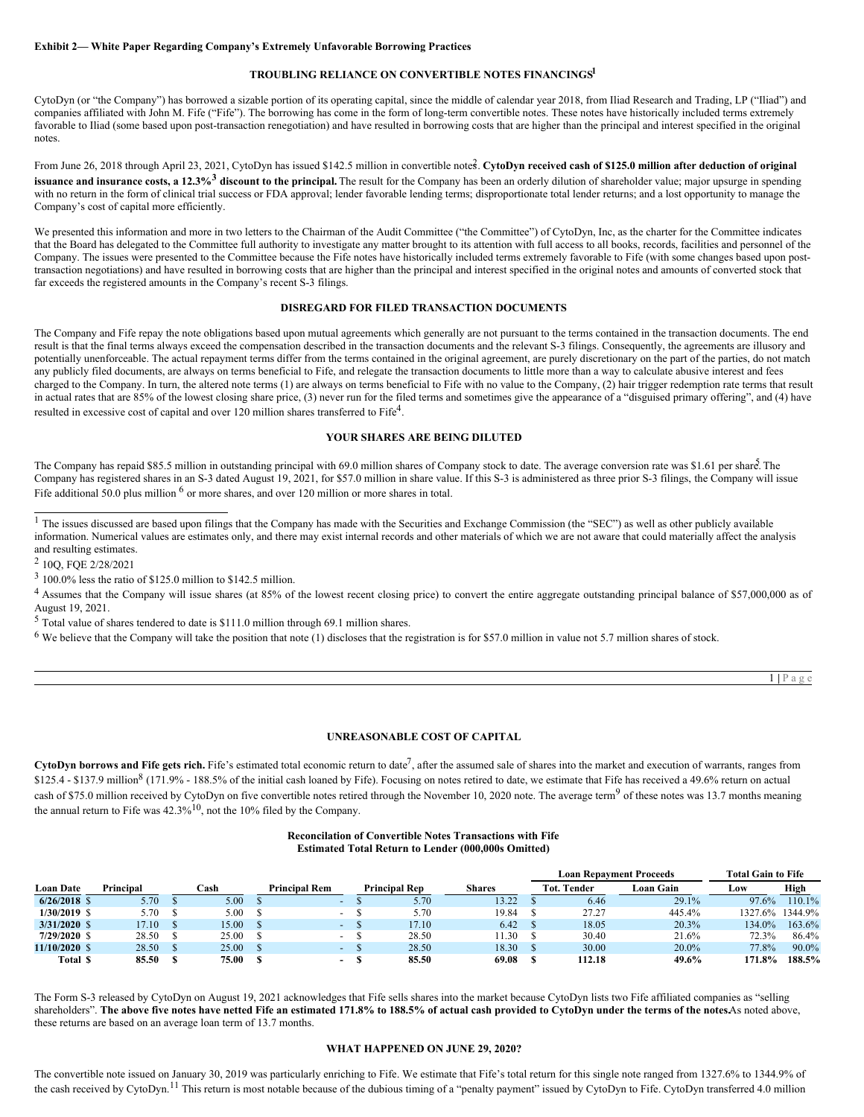#### **Exhibit 2— White Paper Regarding Company's Extremely Unfavorable Borrowing Practices**

## **TROUBLING RELIANCE ON CONVERTIBLE NOTES FINANCINGS 1**

CytoDyn (or "the Company") has borrowed a sizable portion of its operating capital, since the middle of calendar year 2018, from Iliad Research and Trading, LP ("Iliad") and companies affiliated with John M. Fife ("Fife"). The borrowing has come in the form of long-term convertible notes. These notes have historically included terms extremely favorable to Iliad (some based upon post-transaction renegotiation) and have resulted in borrowing costs that are higher than the principal and interest specified in the original notes.

From June 26, 2018 through April 23, 2021, CytoDyn has issued \$142.5 million in convertible notes. CytoDyn received cash of \$125.0 million after deduction of original **issuance and insurance costs, a 12.3%<sup>3</sup> discount to the principal.** The result for the Company has been an orderly dilution of shareholder value; major upsurge in spending with no return in the form of clinical trial success or FDA approval; lender favorable lending terms; disproportionate total lender returns; and a lost opportunity to manage the Company's cost of capital more efficiently.

We presented this information and more in two letters to the Chairman of the Audit Committee ("the Committee") of CytoDyn, Inc, as the charter for the Committee indicates that the Board has delegated to the Committee full authority to investigate any matter brought to its attention with full access to all books, records, facilities and personnel of the Company. The issues were presented to the Committee because the Fife notes have historically included terms extremely favorable to Fife (with some changes based upon posttransaction negotiations) and have resulted in borrowing costs that are higher than the principal and interest specified in the original notes and amounts of converted stock that far exceeds the registered amounts in the Company's recent S-3 filings.

## **DISREGARD FOR FILED TRANSACTION DOCUMENTS**

The Company and Fife repay the note obligations based upon mutual agreements which generally are not pursuant to the terms contained in the transaction documents. The end result is that the final terms always exceed the compensation described in the transaction documents and the relevant S-3 filings. Consequently, the agreements are illusory and potentially unenforceable. The actual repayment terms differ from the terms contained in the original agreement, are purely discretionary on the part of the parties, do not match any publicly filed documents, are always on terms beneficial to Fife, and relegate the transaction documents to little more than a way to calculate abusive interest and fees charged to the Company. In turn, the altered note terms (1) are always on terms beneficial to Fife with no value to the Company, (2) hair trigger redemption rate terms that result in actual rates that are 85% of the lowest closing share price, (3) never run for the filed terms and sometimes give the appearance of a "disguised primary offering", and (4) have resulted in excessive cost of capital and over 120 million shares transferred to Fife<sup>4</sup>.

## **YOUR SHARES ARE BEING DILUTED**

The Company has repaid \$85.5 million in outstanding principal with 69.0 million shares of Company stock to date. The average conversion rate was \$1.61 per share. The Company has registered shares in an S-3 dated August 19, 2021, for \$57.0 million in share value. If this S-3 is administered as three prior S-3 filings, the Company will issue Fife additional 50.0 plus million <sup>6</sup> or more shares, and over 120 million or more shares in total.

<sup>4</sup> Assumes that the Company will issue shares (at 85% of the lowest recent closing price) to convert the entire aggregate outstanding principal balance of \$57,000,000 as of August 19, 2021.

<sup>5</sup> Total value of shares tendered to date is \$111.0 million through 69.1 million shares.

 $6$  We believe that the Company will take the position that note (1) discloses that the registration is for \$57.0 million in value not 5.7 million shares of stock.

1 **|** P a g e

## **UNREASONABLE COST OF CAPITAL**

CytoDyn borrows and Fife gets rich. Fife's estimated total economic return to date<sup>7</sup>, after the assumed sale of shares into the market and execution of warrants, ranges from \$125.4 - \$137.9 million<sup>8</sup> (171.9% - 188.5% of the initial cash loaned by Fife). Focusing on notes retired to date, we estimate that Fife has received a 49.6% return on actual cash of \$75.0 million received by CytoDyn on five convertible notes retired through the November 10, 2020 note. The average term<sup>9</sup> of these notes was 13.7 months meaning the annual return to Fife was  $42.3\%$ <sup>10</sup>, not the 10% filed by the Company.

## **Reconcilation of Convertible Notes Transactions with Fife Estimated Total Return to Lender (000,000s Omitted)**

|                  |           |       |                          |                      |               | <b>Loan Repayment Proceeds</b> | <b>Total Gain to Fife</b> |        |                 |
|------------------|-----------|-------|--------------------------|----------------------|---------------|--------------------------------|---------------------------|--------|-----------------|
| <b>Loan Date</b> | Principal | ⊡ash  | <b>Principal Rem</b>     | <b>Principal Rep</b> | <b>Shares</b> | <b>Tot. Tender</b>             | Loan Gain                 | Low    | High            |
| $6/26/2018$ \$   | 5.70      | 5.00  | -                        | 5.70                 | 13.22         | 6.46                           | 29.1%                     | 97.6%  | 110.1%          |
| $1/30/2019$ \$   | 5.70      | 5.00  | $\sim$                   | 5.70                 | 19.84         | 27.27                          | 445.4%                    |        | 1327.6% 1344.9% |
| $3/31/2020$ \$   | 17.10     | 5.00  | $\sim$                   | 17.10                | 6.42          | 18.05                          | 20.3%                     | 134.0% | 163.6%          |
| $7/29/2020$ \$   | 28.50     | 25.00 | $\sim$ 10 $\,$           | 28.50                | 1.30          | 30.40                          | 21.6%                     | 72.3%  | 86.4%           |
| $11/10/2020$ \$  | 28.50     | 25.00 |                          | 28.50                | 18.30         | 30.00                          | $20.0\%$                  | 77.8%  | 90.0%           |
| Total \$         | 85.50     | 75.00 | $\overline{\phantom{a}}$ | 85.50                | 69.08         | 112.18                         | 49.6%                     | 171.8% | 188.5%          |

The Form S-3 released by CytoDyn on August 19, 2021 acknowledges that Fife sells shares into the market because CytoDyn lists two Fife affiliated companies as "selling shareholders". The above five notes have netted Fife an estimated 171.8% to 188.5% of actual cash provided to CytoDyn under the terms of the notes As noted above, these returns are based on an average loan term of 13.7 months.

#### **WHAT HAPPENED ON JUNE 29, 2020?**

The convertible note issued on January 30, 2019 was particularly enriching to Fife. We estimate that Fife's total return for this single note ranged from 1327.6% to 1344.9% of the cash received by CytoDyn.<sup>11</sup> This return is most notable because of the dubious timing of a "penalty payment" issued by CytoDyn to Fife. CytoDyn transferred 4.0 million

<sup>&</sup>lt;sup>1</sup> The issues discussed are based upon filings that the Company has made with the Securities and Exchange Commission (the "SEC") as well as other publicly available information. Numerical values are estimates only, and there may exist internal records and other materials of which we are not aware that could materially affect the analysis and resulting estimates.

<sup>2</sup> 10Q, FQE 2/28/2021

<sup>3</sup> 100.0% less the ratio of \$125.0 million to \$142.5 million.